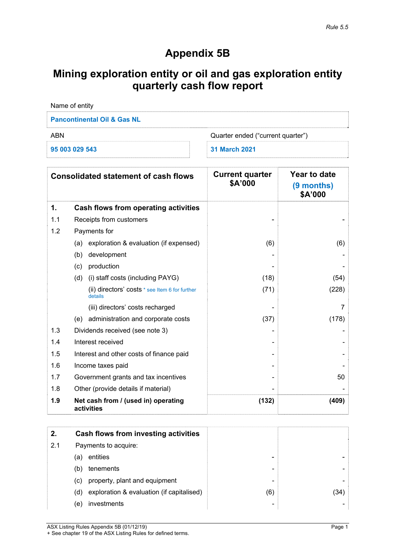## **Appendix 5B**

# **Mining exploration entity or oil and gas exploration entity quarterly cash flow report**

| Name of entity                           |               |  |  |
|------------------------------------------|---------------|--|--|
| <b>Pancontinental Oil &amp; Gas NL</b>   |               |  |  |
| Quarter ended ("current quarter")<br>ABN |               |  |  |
| 95 003 029 543                           | 31 March 2021 |  |  |

|     | <b>Consolidated statement of cash flows</b>               | <b>Current quarter</b><br>\$A'000 | Year to date<br>(9 months)<br>\$A'000 |
|-----|-----------------------------------------------------------|-----------------------------------|---------------------------------------|
| 1.  | Cash flows from operating activities                      |                                   |                                       |
| 1.1 | Receipts from customers                                   |                                   |                                       |
| 1.2 | Payments for                                              |                                   |                                       |
|     | exploration & evaluation (if expensed)<br>(a)             | (6)                               | (6)                                   |
|     | (b)<br>development                                        |                                   |                                       |
|     | production<br>(c)                                         |                                   |                                       |
|     | (i) staff costs (including PAYG)<br>(d)                   | (18)                              | (54)                                  |
|     | (ii) directors' costs * see Item 6 for further<br>details | (71)                              | (228)                                 |
|     | (iii) directors' costs recharged                          |                                   | 7                                     |
|     | administration and corporate costs<br>(e)                 | (37)                              | (178)                                 |
| 1.3 | Dividends received (see note 3)                           |                                   |                                       |
| 1.4 | Interest received                                         |                                   |                                       |
| 1.5 | Interest and other costs of finance paid                  |                                   |                                       |
| 1.6 | Income taxes paid                                         |                                   |                                       |
| 1.7 | Government grants and tax incentives                      |                                   | 50                                    |
| 1.8 | Other (provide details if material)                       |                                   |                                       |
| 1.9 | Net cash from / (used in) operating<br>activities         | (132)                             | (409)                                 |

| 2.  | <b>Cash flows from investing activities</b>      |                          |      |
|-----|--------------------------------------------------|--------------------------|------|
| 2.1 | Payments to acquire:                             |                          |      |
|     | entities<br>(a)                                  |                          |      |
|     | tenements<br>(b)                                 | -                        |      |
|     | property, plant and equipment<br>(C)             | $\overline{\phantom{0}}$ |      |
|     | exploration & evaluation (if capitalised)<br>(d) | (6)                      | (34) |
|     | investments<br>(e)                               | -                        |      |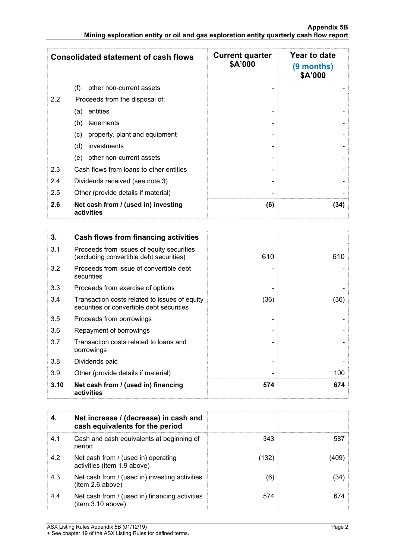|               | <b>Consolidated statement of cash flows</b>       | <b>Current quarter</b><br>\$A'000 | Year to date<br>(9 months)<br>\$A'000 |
|---------------|---------------------------------------------------|-----------------------------------|---------------------------------------|
|               | (f)<br>other non-current assets                   |                                   |                                       |
| $2.2^{\circ}$ | Proceeds from the disposal of:                    |                                   |                                       |
|               | entities<br>(a)                                   |                                   |                                       |
|               | tenements<br>(b)                                  |                                   |                                       |
|               | property, plant and equipment<br>(c)              |                                   |                                       |
|               | investments<br>(d)                                |                                   |                                       |
|               | other non-current assets<br>(e)                   |                                   |                                       |
| 2.3           | Cash flows from loans to other entities           |                                   |                                       |
| 2.4           | Dividends received (see note 3)                   |                                   |                                       |
| 2.5           | Other (provide details if material)               |                                   |                                       |
| 2.6           | Net cash from / (used in) investing<br>activities | (6)                               | (34)                                  |

| 3.   | Cash flows from financing activities                                                       |      |      |
|------|--------------------------------------------------------------------------------------------|------|------|
| 3.1  | Proceeds from issues of equity securities<br>(excluding convertible debt securities)       | 610  | 610  |
| 3.2  | Proceeds from issue of convertible debt<br>securities                                      |      |      |
| 3.3  | Proceeds from exercise of options                                                          |      |      |
| 3.4  | Transaction costs related to issues of equity<br>securities or convertible debt securities | (36) | (36) |
| 3.5  | Proceeds from borrowings                                                                   |      |      |
| 3.6  | Repayment of borrowings                                                                    |      |      |
| 3.7  | Transaction costs related to loans and<br>borrowings                                       |      |      |
| 3.8  | Dividends paid                                                                             |      |      |
| 3.9  | Other (provide details if material)                                                        |      | 100  |
| 3.10 | Net cash from / (used in) financing<br>activities                                          | 574  | 674  |

| 4.  | Net increase / (decrease) in cash and<br>cash equivalents for the period |       |       |
|-----|--------------------------------------------------------------------------|-------|-------|
| 4.1 | Cash and cash equivalents at beginning of<br>period                      | 343   | 587   |
| 4.2 | Net cash from / (used in) operating<br>activities (item 1.9 above)       | (132) | (409) |
| 4.3 | Net cash from / (used in) investing activities<br>item 2.6 above)        | (6)   | (34)  |
| 4.4 | Net cash from / (used in) financing activities<br>(item 3.10 above)      | 574   | 674   |

ASX Listing Rules Appendix 5B (01/12/19) Page 2

<sup>+</sup> See chapter 19 of the ASX Listing Rules for defined terms.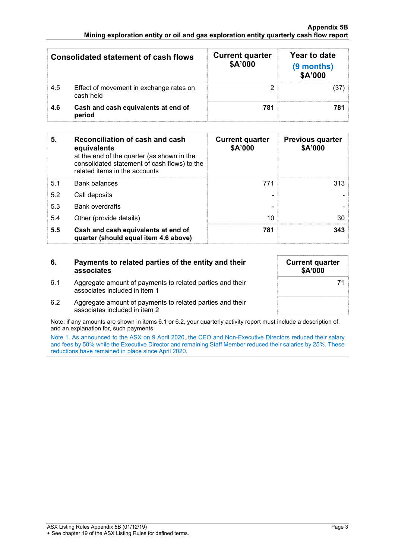#### **Appendix 5B Mining exploration entity or oil and gas exploration entity quarterly cash flow report**

|     | Consolidated statement of cash flows                 | <b>Current quarter</b><br>\$A'000 | Year to date<br>(9 months)<br>\$A'000 |
|-----|------------------------------------------------------|-----------------------------------|---------------------------------------|
| 4.5 | Effect of movement in exchange rates on<br>cash held |                                   | (37                                   |
| 4.6 | Cash and cash equivalents at end of<br>period        | 781                               | 781                                   |

| 5.  | Reconciliation of cash and cash<br>equivalents<br>at the end of the quarter (as shown in the<br>consolidated statement of cash flows) to the<br>related items in the accounts | <b>Current quarter</b><br>\$A'000 | <b>Previous quarter</b><br>\$A'000 |
|-----|-------------------------------------------------------------------------------------------------------------------------------------------------------------------------------|-----------------------------------|------------------------------------|
| 5.1 | <b>Bank balances</b>                                                                                                                                                          | 771                               | 313                                |
| 5.2 | Call deposits                                                                                                                                                                 |                                   |                                    |
| 5.3 | <b>Bank overdrafts</b>                                                                                                                                                        |                                   |                                    |
| 5.4 | Other (provide details)                                                                                                                                                       | 10                                | 30                                 |
| 5.5 | Cash and cash equivalents at end of<br>quarter (should equal item 4.6 above)                                                                                                  | 781                               | 343                                |

| 6.  | Payments to related parties of the entity and their<br>associates                          | <b>Current quarter</b><br>\$A'000 |
|-----|--------------------------------------------------------------------------------------------|-----------------------------------|
| 6.1 | Aggregate amount of payments to related parties and their<br>associates included in item 1 | 71                                |
| 6.2 | Aggregate amount of payments to related parties and their<br>associates included in item 2 |                                   |

Note: if any amounts are shown in items 6.1 or 6.2, your quarterly activity report must include a description of, and an explanation for, such payments

Note 1. As announced to the ASX on 9 April 2020, the CEO and Non-Executive Directors reduced their salary and fees by 50% while the Executive Director and remaining Staff Member reduced their salaries by 25%. These reductions have remained in place since April 2020.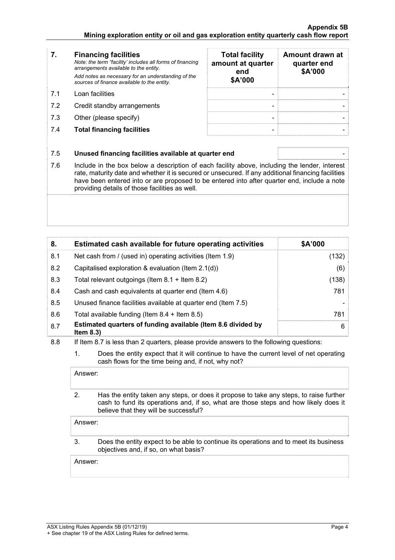- **7. Financing facilities** *Note: the term "facility' includes all forms of financing arrangements available to the entity. Add notes as necessary for an understanding of the sources of finance available to the entity.* 7.1 Loan facilities
- 7.2 Credit standby arrangements
- 7.3 Other (please specify)
- **7.4 Total financing facilities**

| <b>Total facility</b><br>amount at quarter<br>end<br>\$A'000 | Amount drawn at<br>quarter end<br>\$A'000 |
|--------------------------------------------------------------|-------------------------------------------|
|                                                              |                                           |
|                                                              |                                           |
|                                                              |                                           |

### 7.5 **Unused financing facilities available at quarter end** -

7.6 Include in the box below a description of each facility above, including the lender, interest rate, maturity date and whether it is secured or unsecured. If any additional financing facilities have been entered into or are proposed to be entered into after quarter end, include a note providing details of those facilities as well.

| 8.  | Estimated cash available for future operating activities                     | \$A'000 |
|-----|------------------------------------------------------------------------------|---------|
| 8.1 | Net cash from / (used in) operating activities (Item 1.9)                    | (132)   |
| 8.2 | Capitalised exploration & evaluation (Item $2.1(d)$ )                        | (6)     |
| 8.3 | Total relevant outgoings (Item 8.1 + Item 8.2)                               | (138)   |
| 8.4 | Cash and cash equivalents at quarter end (Item 4.6)                          | 781     |
| 8.5 | Unused finance facilities available at quarter end (Item 7.5)                |         |
| 8.6 | Total available funding (Item $8.4 +$ Item $8.5$ )                           | 781     |
| 8.7 | Estimated quarters of funding available (Item 8.6 divided by<br>Item $8.3$ ) | 6       |

- 8.8 If Item 8.7 is less than 2 quarters, please provide answers to the following questions:
	- 1. Does the entity expect that it will continue to have the current level of net operating cash flows for the time being and, if not, why not?

Answer:

 2. Has the entity taken any steps, or does it propose to take any steps, to raise further cash to fund its operations and, if so, what are those steps and how likely does it believe that they will be successful?

Answer:

 3. Does the entity expect to be able to continue its operations and to meet its business objectives and, if so, on what basis?

Answer: